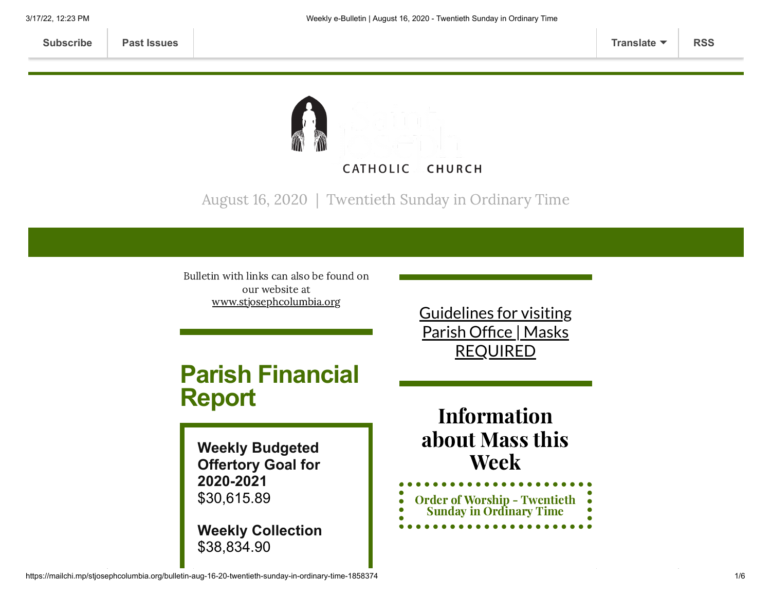

August 16, 2020 | Twentieth Sunday in Ordinary Time

Bulletin with links can also be found on our website at [www.stjosephcolumbia.org](http://www.stjosephcolumbia.org/)

# **Parish Financial Report**

**Weekly Budgeted Offertory Goal for 2020-2021** \$30,615.89

**Weekly Collection** \$38,834.90

Guidelines for visiting Parish Office | Masks [REQUIRED](https://www.stjosephcolumbia.org/church-and-parish-office-hours)

Information about Mass this Week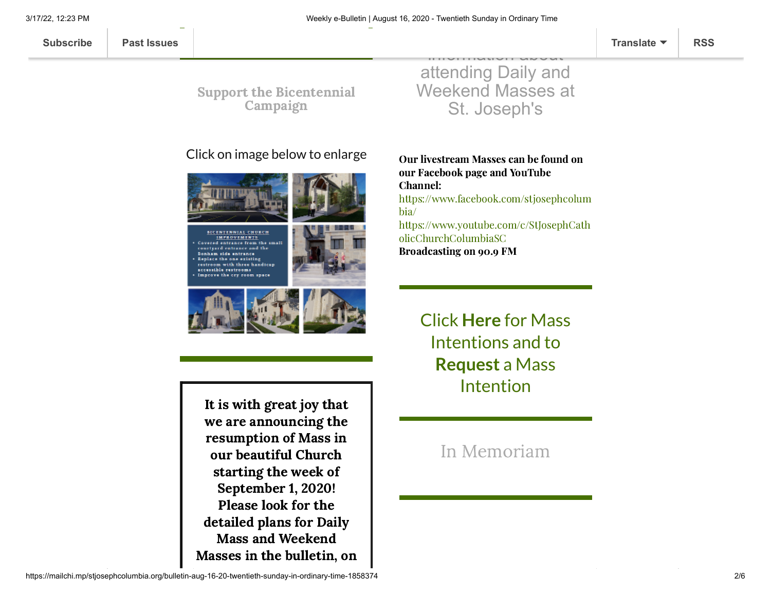#### Click on image below to enlarge



**BICENTENNIAL CHURCH** IMPROVEMENTS Covered entrance from the small enrivard entrance and the Bonham side entrance Replace the one existing restroom with three handicap accessible restrooms Improve the cry room space



It is with great joy that we are announcing the resumption of Mass in our beautiful Church starting the week of September 1, 2020! Please look for the detailed plans for Daily Mass and Weekend Masses in the bulletin, on

attending Daily and Weekend Masses at St. Joseph's

 $\overline{\phantom{a}}$ information about

Our livestream Masses can be found on our Facebook page and YouTube Channel: [https://www.facebook.com/stjosephcolum](https://www.facebook.com/stjosephcolumbia/) bia/ [https://www.youtube.com/c/StJosephCath](https://www.youtube.com/c/StJosephCatholicChurchColumbiaSC) olicChurchColumbiaSC Broadcasting on 90.9 FM

> [Click](https://www.stjosephcolumbia.org/mass-intentions) **[Here](https://www.stjosephcolumbia.org/mass-intentions)** for Mass I[ntentions and to](https://www.stjosephcolumbia.org/mass-intention-requests) **Request** a Mass Intention

> > In [Memoriam](https://www.stjosephcolumbia.org/in-memoriam)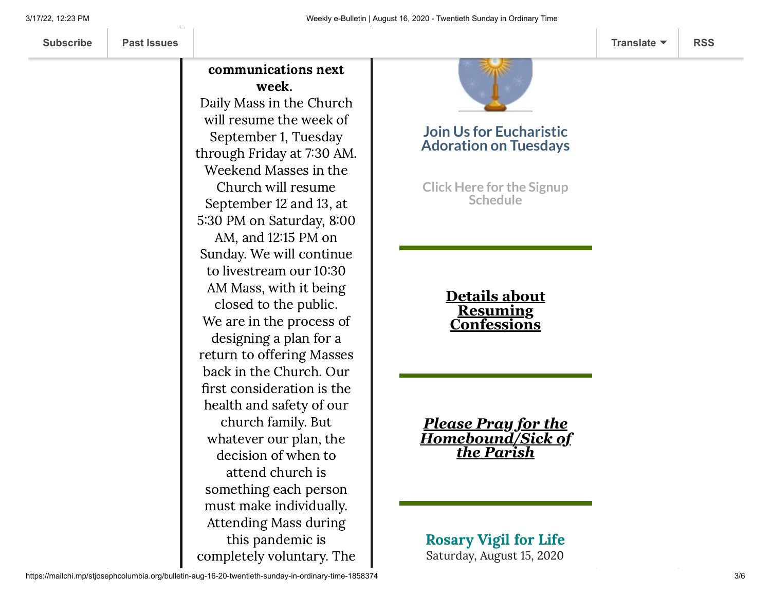**[Subscribe](http://eepurl.com/ded6Lz) [Past Issues](https://us9.campaign-archive.com/home/?u=7399f6b35c8ab775fb1714c3d&id=770b4a80d3) [Translate](javascript:;) [RSS](https://us9.campaign-archive.com/feed?u=7399f6b35c8ab775fb1714c3d&id=770b4a80d3)**

### communications next week.

Daily Mass in the Church will resume the week of September 1, Tuesday through Friday at 730 AM. Weekend Masses in the Church will resume September 12 and 13, at 5:30 PM on Saturday, 8:00 AM, and 1215 PM on Sunday. We will continue to livestream our 10:30 AM Mass, with it being closed to the public. We are in the process of designing a plan for a return to offering Masses back in the Church. Our first consideration is the health and safety of our church family. But whatever our plan, the decision of when to attend church is something each person must make individually. Attending Mass during this pandemic is completely voluntary. The



#### **Join Us for Eucharistic Adoration on Tuesdays**

**Click Here for the Signup [Schedule](https://www.stjosephcolumbia.org/copy-of-eucharistic-adoration-signu)**

> **Details about Resuming [Confessions](https://www.stjosephcolumbia.org/confessions)**

*Please Pray for the [Homebound/Sick of](https://www.stjosephcolumbia.org/pray-for-the-homebound-sick-of-pari) the Parish*

Rosary Vigil for Life Saturday, August 15, 2020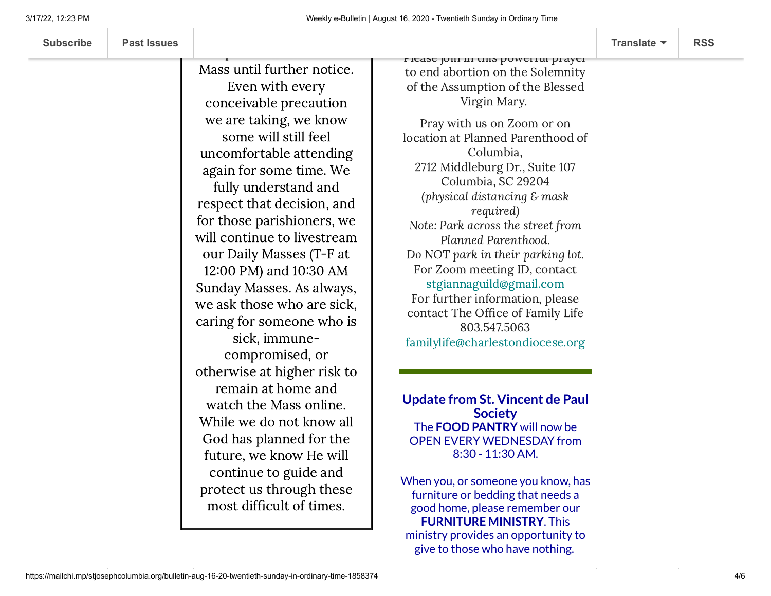Mass until further notice. Even with every conceivable precaution we are taking, we know some will still feel uncomfortable attending again for some time. We fully understand and respect that decision, and for those parishioners, we will continue to livestream our Daily Masses (T-F at 12:00 PM) and 10:30 AM Sunday Masses. As always, we ask those who are sick, caring for someone who is sick, immunecompromised, or otherwise at higher risk to remain at home and watch the Mass online. While we do not know all God has planned for the future, we know He will continue to guide and protect us through these most difficult of times.

Please join in this powerful prayer to end abortion on the Solemnity of the Assumption of the Blessed Virgin Mary.

Pray with us on Zoom or on location at Planned Parenthood of Columbia, 2712 Middleburg Dr., Suite 107 Columbia, SC 29204 (physical distancing & mask required) Note: Park across the street from Planned Parenthood. Do NOT park in their parking lot. For Zoom meeting ID, contact [stgiannaguild@gmail.com](mailto:stgiannaguild@gmail.com) For further information, please contact The Office of Family Life 803.547.5063 [familylife@charlestondiocese.org](mailto:familylife@charlestondiocese.org)

**Update from St. Vincent de Paul Society** The **FOOD PANTRY** will now be OPEN EVERY WEDNESDAY from 8:30 - 11:30 AM.

When you, or someone you know, has furniture or bedding that needs a good home, please remember our **FURNITURE MINISTRY**. This ministry provides an opportunity to give to those who have nothing.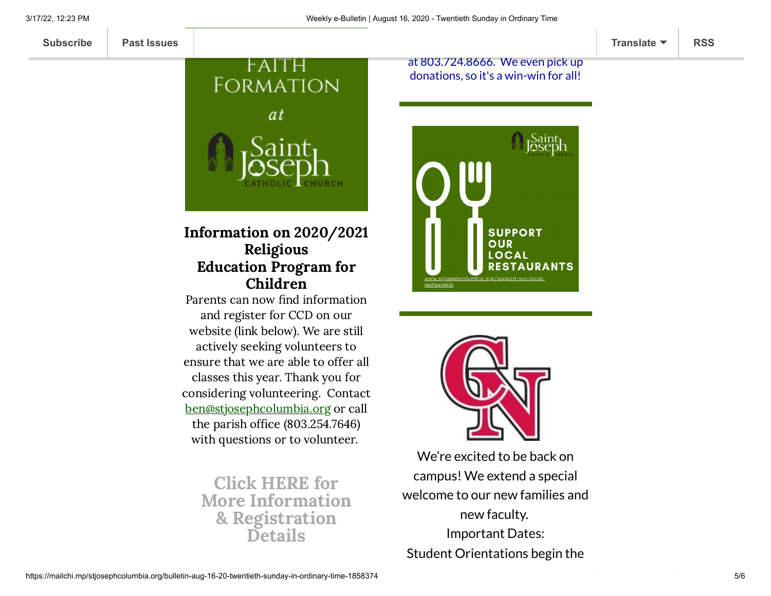

#### Information on 2020/2021 Religious Education Program for Children

Parents can now find information and register for CCD on our website (link below). We are still actively seeking volunteers to ensure that we are able to offer all classes this year. Thank you for considering volunteering. Contact [ben@stjosephcolumbia.org](mailto:ben@stjosephcolumbia.org) or call the parish office (803.254.7646) with questions or to volunteer.

Click HERE for More Information & [Registration](https://www.stjosephcolumbia.org/faith-formation-ccd) **Details** 

at 803.724.8666. We even pick up donations, so it's a win-win for all!





We're excited to be back on campus! We extend a special welcome to our new families and new faculty. Important Dates: Student Orientations begin the